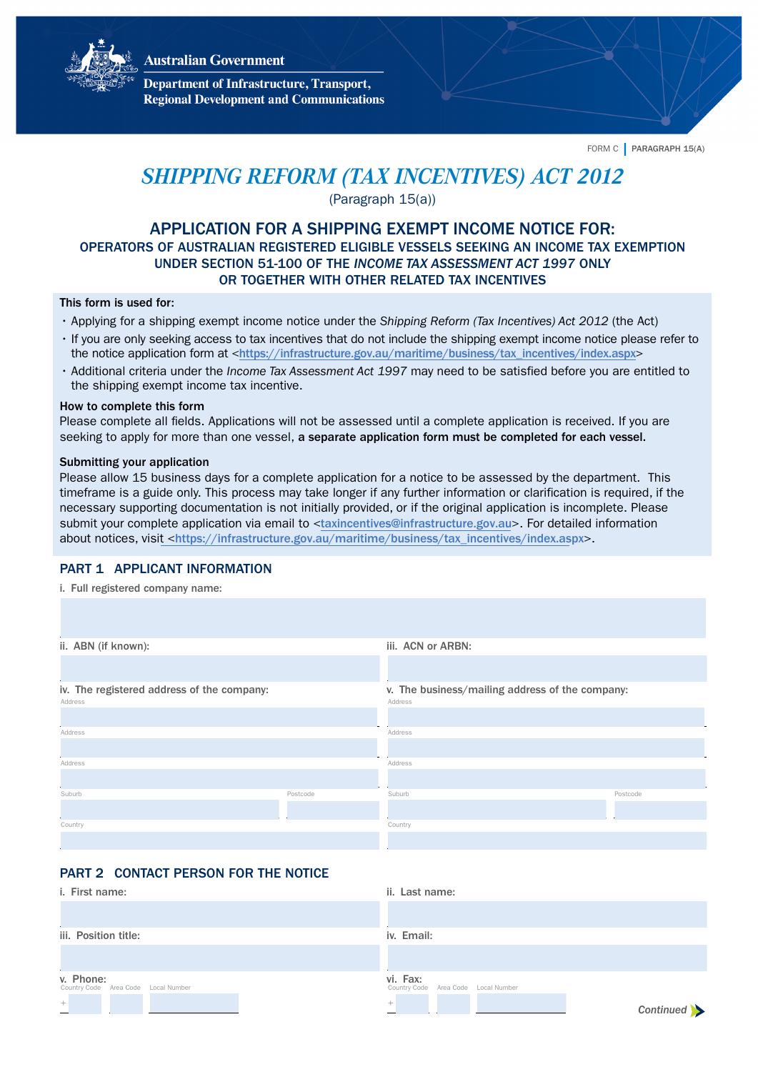**Australian Government** 



**Department of Infrastructure, Transport, Regional Development and Communications** 

FORM C | PARAGRAPH 15(A)

# *SHIPPING REFORM (TAX INCENTIVES) ACT 2012*

(Paragraph 15(a))

# APPLICATION FOR A SHIPPING EXEMPT INCOME NOTICE FOR: OPERATORS OF AUSTRALIAN REGISTERED ELIGIBLE VESSELS SEEKING AN INCOME TAX EXEMPTION UNDER SECTION 51-100 OF THE *INCOME TAX ASSESSMENT ACT 1997* ONLY OR TOGETHER WITH OTHER RELATED TAX INCENTIVES

#### This form is used for:

- Applying for a shipping exempt income notice under the *Shipping Reform (Tax Incentives) Act 2012* (the Act)
- If you are only seeking access to tax incentives that do not include the shipping exempt income notice please refer to the notice application form at <https:/[/infrastructure.gov.au/maritime/business/tax\\_incentives/index.aspx](https://infrastructure.gov.au/maritime/business/tax_incentives/index.aspx)>
- Additional criteria under the *Income Tax Assessment Act 1997* may need to be satisfied before you are entitled to the shipping exempt income tax incentive.

#### How to complete this form

Please complete all fields. Applications will not be assessed until a complete application is received. If you are seeking to apply for more than one vessel, a separate application form must be completed for each vessel.

#### Submitting your application

Please allow 15 business days for a complete application for a notice to be assessed by the department. This timeframe is a guide only. This process may take longer if any further information or clarification is required, if the necessary supporting documentation is not initially provided, or if the original application is incomplete. Please submit your complete application via email to <[taxincentives@infrastructure.gov.au](mailto:taxincentives@infrastructure.gov.au)>. For detailed information about notices, visit <[https://infrastructure.gov.au/maritime/business/tax\\_incentives/index.aspx](https://infrastructure.gov.au/maritime/business/tax_incentives/index.aspx)>.

## PART 1 APPLICANT INFORMATION

i. Full registered company name:

| ii. ABN (if known):                        |          | iii. ACN or ARBN:                               |          |
|--------------------------------------------|----------|-------------------------------------------------|----------|
|                                            |          |                                                 |          |
|                                            |          |                                                 |          |
| iv. The registered address of the company: |          | v. The business/mailing address of the company: |          |
| Address                                    |          | Address                                         |          |
|                                            |          |                                                 |          |
| Address                                    |          | Address                                         |          |
|                                            |          |                                                 |          |
| Address                                    |          | Address                                         |          |
|                                            |          |                                                 |          |
| Suburb                                     | Postcode | Suburb                                          | Postcode |
|                                            |          |                                                 |          |
| Country                                    |          | Country                                         |          |
|                                            |          |                                                 |          |

# PART 2 CONTACT PERSON FOR THE NOTICE

| i. First name:                                   | ii. Last name:                                  |
|--------------------------------------------------|-------------------------------------------------|
|                                                  |                                                 |
| iii. Position title:                             | iv. Email:                                      |
|                                                  |                                                 |
| v. Phone:<br>Country Code Area Code Local Number | vi. Fax:<br>Country Code Area Code Local Number |
| $^{\rm +}$                                       | $^{+}$<br>Continued >                           |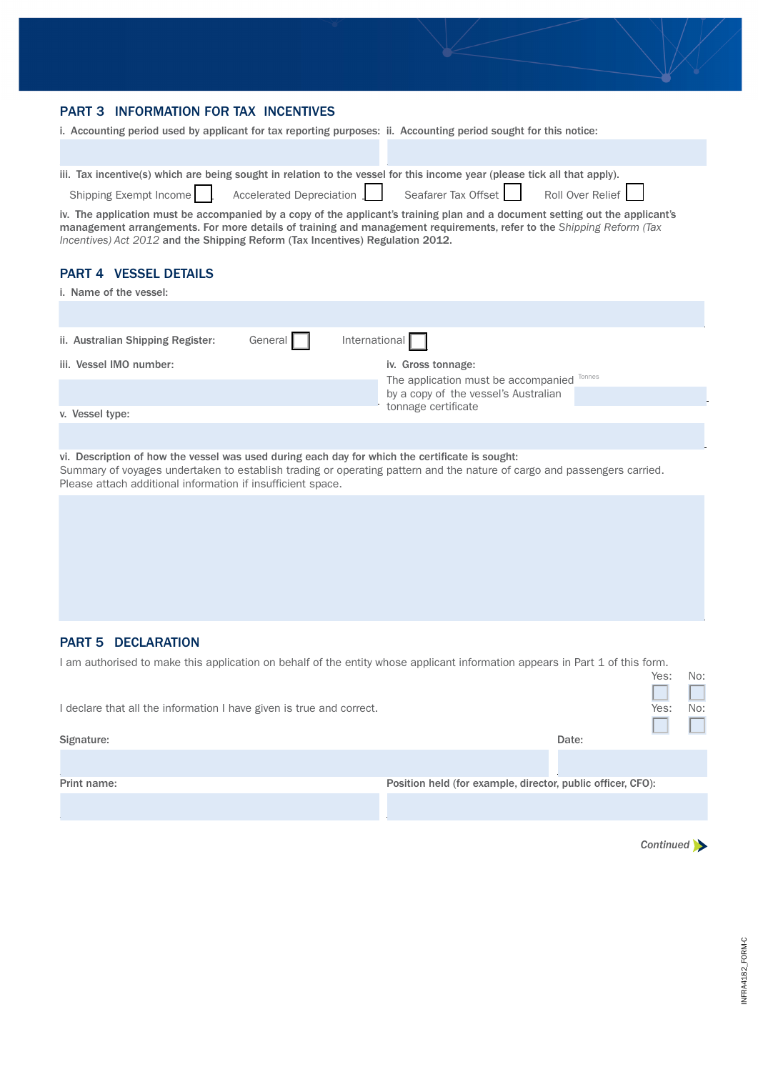## <span id="page-1-0"></span>PART 3 INFORMATION FOR TAX INCENTIVES

| i. Accounting period used by applicant for tax reporting purposes: ii. Accounting period sought for this notice: |  |  |
|------------------------------------------------------------------------------------------------------------------|--|--|
|                                                                                                                  |  |  |

|                        | iii. Tax incentive(s) which are being sought in relation to the vessel for this income year (please tick all that apply). |                     |                  |
|------------------------|---------------------------------------------------------------------------------------------------------------------------|---------------------|------------------|
| Shipping Exempt Income | Accelerated Depreciation                                                                                                  | Seafarer Tax Offset | Roll Over Relief |

iv. The application must be accompanied by a copy of the applicant's training plan and a document setting out the applicant's management arrangements. For more details of training and management requirements, refer to the *Shipping Reform (Tax Incentives) Act 2012* and the Shipping Reform (Tax Incentives) Regulation 2012.

# PART 4 VESSEL DETAILS

| i. Name of the vessel:            |         |                                            |  |
|-----------------------------------|---------|--------------------------------------------|--|
|                                   |         |                                            |  |
| ii. Australian Shipping Register: | General | International $\Box$                       |  |
| iii. Vessel IMO number:           |         | iv. Gross tonnage:                         |  |
|                                   |         | The application must be accompanied Tonnes |  |
|                                   |         | by a copy of the vessel's Australian       |  |
| v. Vessel type:                   |         | tonnage certificate                        |  |
|                                   |         |                                            |  |

#### vi. Description of how the vessel was used during each day for which the certificate is sought:

Summary of voyages undertaken to establish trading or operating pattern and the nature of cargo and passengers carried. Please attach additional information if insufficient space.

## PART 5 DECLARATION

I am authorised to make this application on behalf of the entity whose applicant information appears in Part 1 of this form.

|                                                                      |                                                             | 105.<br>IVU <sub>1</sub> |
|----------------------------------------------------------------------|-------------------------------------------------------------|--------------------------|
|                                                                      |                                                             |                          |
| I declare that all the information I have given is true and correct. |                                                             | Yes:<br>No:              |
|                                                                      |                                                             |                          |
| Signature:                                                           | Date:                                                       |                          |
|                                                                      |                                                             |                          |
| Print name:                                                          | Position held (for example, director, public officer, CFO): |                          |
|                                                                      |                                                             |                          |

*[Continued](#page-2-0)* 

Yes: No: